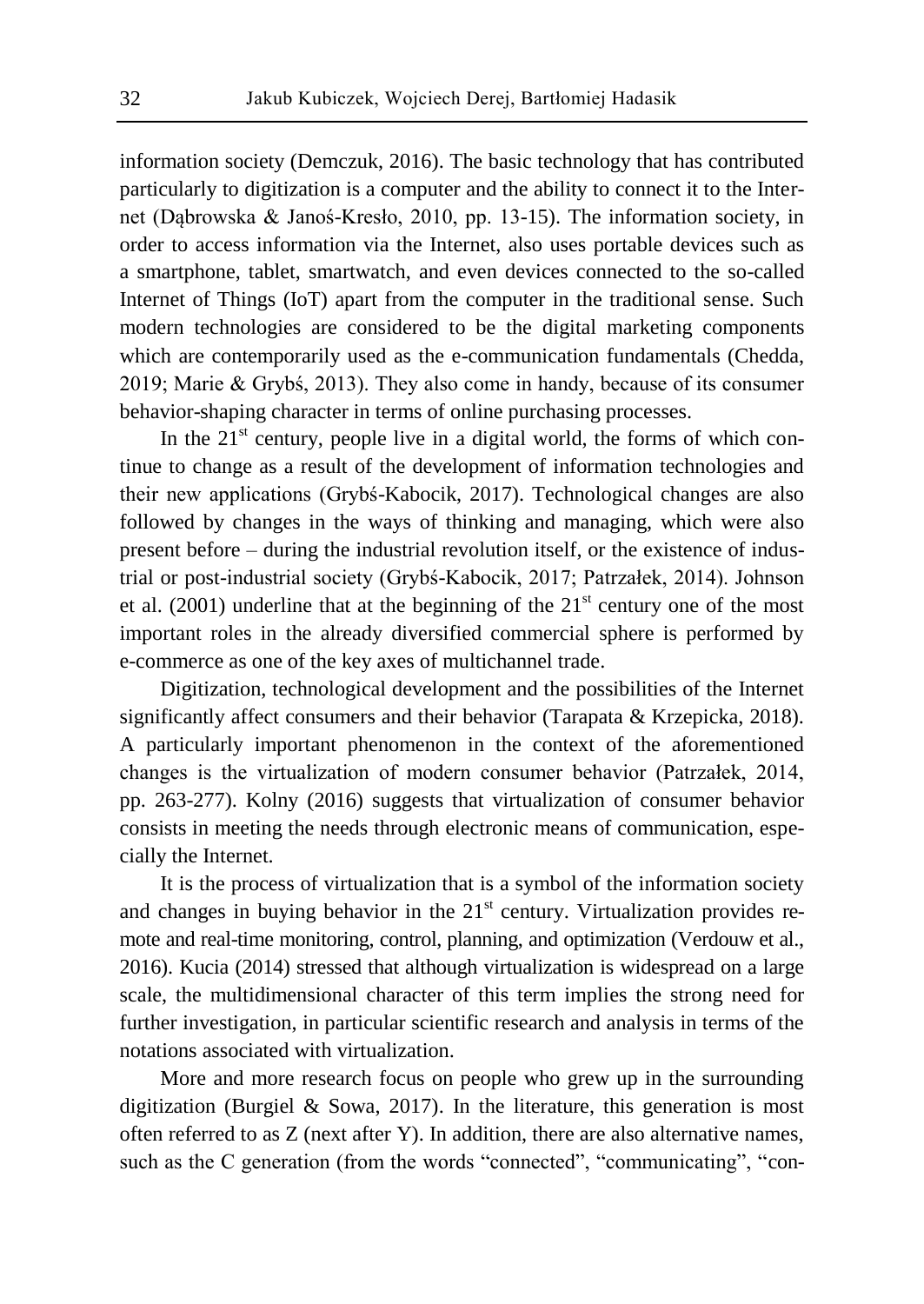information society (Demczuk, 2016). The basic technology that has contributed particularly to digitization is a computer and the ability to connect it to the Internet (Dąbrowska & Janoś-Kresło, 2010, pp. 13-15). The information society, in order to access information via the Internet, also uses portable devices such as a smartphone, tablet, smartwatch, and even devices connected to the so-called Internet of Things (IoT) apart from the computer in the traditional sense. Such modern technologies are considered to be the digital marketing components which are contemporarily used as the e-communication fundamentals (Chedda, 2019; Marie & Grybś, 2013). They also come in handy, because of its consumer behavior-shaping character in terms of online purchasing processes.

In the  $21<sup>st</sup>$  century, people live in a digital world, the forms of which continue to change as a result of the development of information technologies and their new applications (Grybś-Kabocik, 2017). Technological changes are also followed by changes in the ways of thinking and managing, which were also present before – during the industrial revolution itself, or the existence of industrial or post-industrial society (Grybś-Kabocik, 2017; Patrzałek, 2014). Johnson et al. (2001) underline that at the beginning of the  $21<sup>st</sup>$  century one of the most important roles in the already diversified commercial sphere is performed by e-commerce as one of the key axes of multichannel trade.

Digitization, technological development and the possibilities of the Internet significantly affect consumers and their behavior (Tarapata & Krzepicka, 2018). A particularly important phenomenon in the context of the aforementioned changes is the virtualization of modern consumer behavior (Patrzałek, 2014, pp. 263-277). Kolny (2016) suggests that virtualization of consumer behavior consists in meeting the needs through electronic means of communication, especially the Internet.

It is the process of virtualization that is a symbol of the information society and changes in buying behavior in the  $21<sup>st</sup>$  century. Virtualization provides remote and real-time monitoring, control, planning, and optimization (Verdouw et al., 2016). Kucia (2014) stressed that although virtualization is widespread on a large scale, the multidimensional character of this term implies the strong need for further investigation, in particular scientific research and analysis in terms of the notations associated with virtualization.

More and more research focus on people who grew up in the surrounding digitization (Burgiel & Sowa, 2017). In the literature, this generation is most often referred to as Z (next after Y). In addition, there are also alternative names, such as the C generation (from the words "connected", "communicating", "con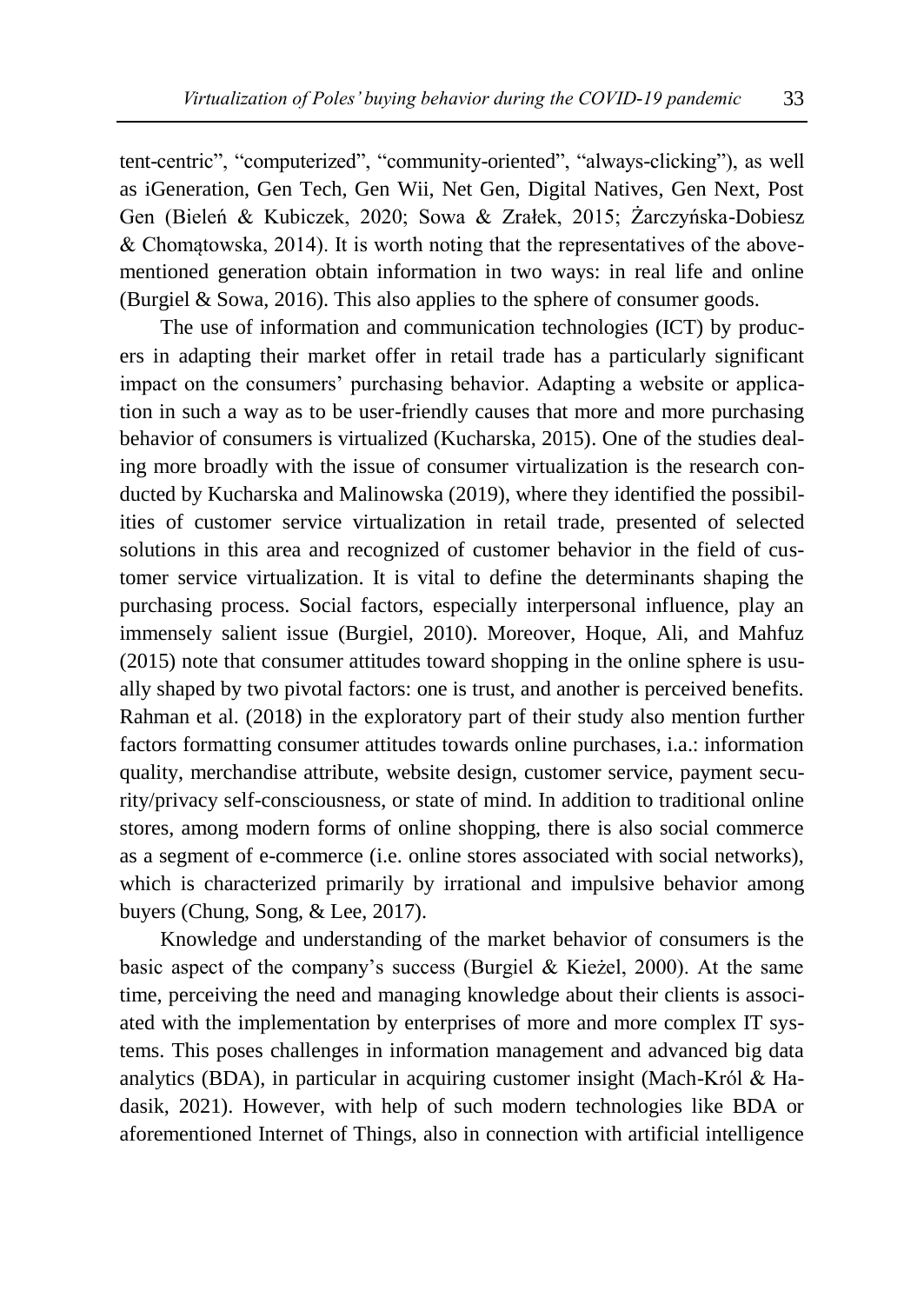tent-centric", "computerized", "community-oriented", "always-clicking"), as well as iGeneration, Gen Tech, Gen Wii, Net Gen, Digital Natives, Gen Next, Post Gen (Bieleń & Kubiczek, 2020; Sowa & Zrałek, 2015; Żarczyńska-Dobiesz & Chomątowska, 2014). It is worth noting that the representatives of the abovementioned generation obtain information in two ways: in real life and online (Burgiel & Sowa, 2016). This also applies to the sphere of consumer goods.

The use of information and communication technologies (ICT) by producers in adapting their market offer in retail trade has a particularly significant impact on the consumers' purchasing behavior. Adapting a website or application in such a way as to be user-friendly causes that more and more purchasing behavior of consumers is virtualized (Kucharska, 2015). One of the studies dealing more broadly with the issue of consumer virtualization is the research conducted by Kucharska and Malinowska (2019), where they identified the possibilities of customer service virtualization in retail trade, presented of selected solutions in this area and recognized of customer behavior in the field of customer service virtualization. It is vital to define the determinants shaping the purchasing process. Social factors, especially interpersonal influence, play an immensely salient issue (Burgiel, 2010). Moreover, Hoque, Ali, and Mahfuz (2015) note that consumer attitudes toward shopping in the online sphere is usually shaped by two pivotal factors: one is trust, and another is perceived benefits. Rahman et al. (2018) in the exploratory part of their study also mention further factors formatting consumer attitudes towards online purchases, i.a.: information quality, merchandise attribute, website design, customer service, payment security/privacy self-consciousness, or state of mind. In addition to traditional online stores, among modern forms of online shopping, there is also social commerce as a segment of e-commerce (i.e. online stores associated with social networks), which is characterized primarily by irrational and impulsive behavior among buyers (Chung, Song, & Lee, 2017).

Knowledge and understanding of the market behavior of consumers is the basic aspect of the company's success (Burgiel & Kieżel, 2000). At the same time, perceiving the need and managing knowledge about their clients is associated with the implementation by enterprises of more and more complex IT systems. This poses challenges in information management and advanced big data analytics (BDA), in particular in acquiring customer insight (Mach-Król & Hadasik, 2021). However, with help of such modern technologies like BDA or aforementioned Internet of Things, also in connection with artificial intelligence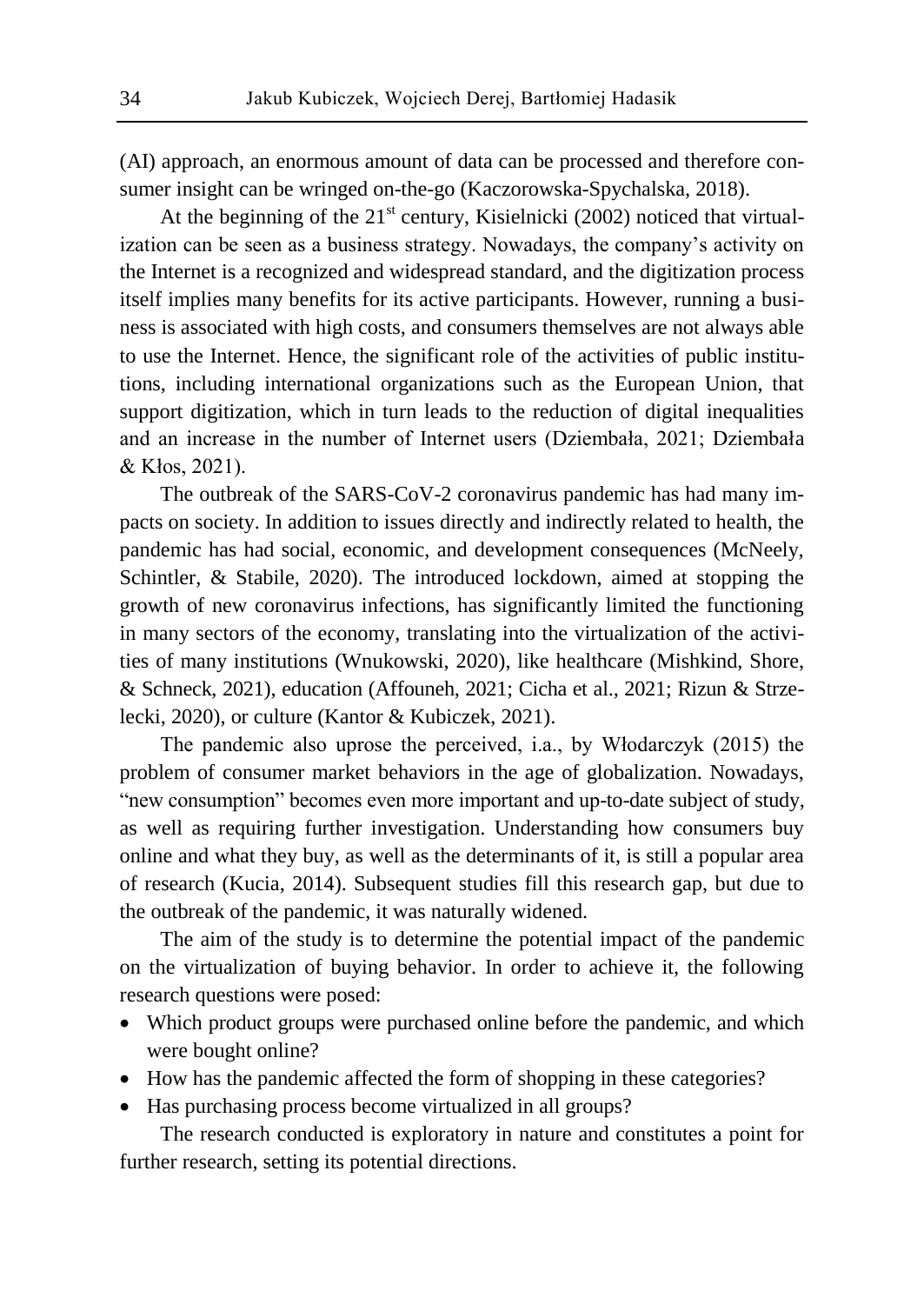(AI) approach, an enormous amount of data can be processed and therefore consumer insight can be wringed on-the-go (Kaczorowska-Spychalska, 2018).

At the beginning of the  $21<sup>st</sup>$  century, Kisielnicki (2002) noticed that virtualization can be seen as a business strategy. Nowadays, the company's activity on the Internet is a recognized and widespread standard, and the digitization process itself implies many benefits for its active participants. However, running a business is associated with high costs, and consumers themselves are not always able to use the Internet. Hence, the significant role of the activities of public institutions, including international organizations such as the European Union, that support digitization, which in turn leads to the reduction of digital inequalities and an increase in the number of Internet users (Dziembała, 2021; Dziembała & Kłos, 2021).

The outbreak of the SARS-CoV-2 coronavirus pandemic has had many impacts on society. In addition to issues directly and indirectly related to health, the pandemic has had social, economic, and development consequences (McNeely, Schintler, & Stabile, 2020). The introduced lockdown, aimed at stopping the growth of new coronavirus infections, has significantly limited the functioning in many sectors of the economy, translating into the virtualization of the activities of many institutions (Wnukowski, 2020), like healthcare (Mishkind, Shore, & Schneck, 2021), education (Affouneh, 2021; Cicha et al., 2021; Rizun & Strzelecki, 2020), or culture (Kantor & Kubiczek, 2021).

The pandemic also uprose the perceived, i.a., by Włodarczyk (2015) the problem of consumer market behaviors in the age of globalization. Nowadays, "new consumption" becomes even more important and up-to-date subject of study, as well as requiring further investigation. Understanding how consumers buy online and what they buy, as well as the determinants of it, is still a popular area of research (Kucia, 2014). Subsequent studies fill this research gap, but due to the outbreak of the pandemic, it was naturally widened.

The aim of the study is to determine the potential impact of the pandemic on the virtualization of buying behavior. In order to achieve it, the following research questions were posed:

- Which product groups were purchased online before the pandemic, and which were bought online?
- How has the pandemic affected the form of shopping in these categories?
- Has purchasing process become virtualized in all groups?

The research conducted is exploratory in nature and constitutes a point for further research, setting its potential directions.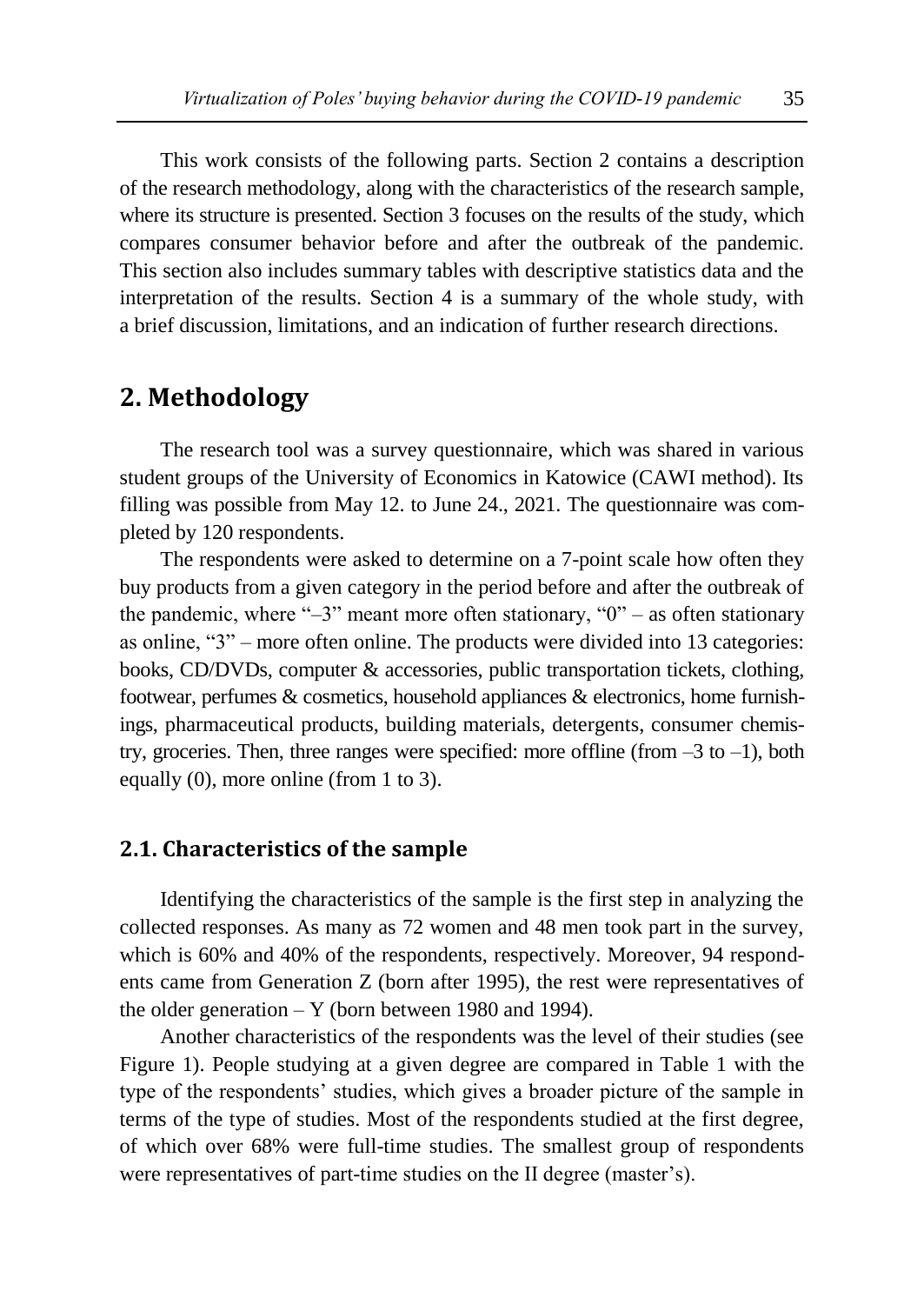This work consists of the following parts. Section 2 contains a description of the research methodology, along with the characteristics of the research sample, where its structure is presented. Section 3 focuses on the results of the study, which compares consumer behavior before and after the outbreak of the pandemic. This section also includes summary tables with descriptive statistics data and the interpretation of the results. Section 4 is a summary of the whole study, with a brief discussion, limitations, and an indication of further research directions.

### **2. Methodology**

The research tool was a survey questionnaire, which was shared in various student groups of the University of Economics in Katowice (CAWI method). Its filling was possible from May 12. to June 24., 2021. The questionnaire was completed by 120 respondents.

The respondents were asked to determine on a 7-point scale how often they buy products from a given category in the period before and after the outbreak of the pandemic, where " $-3$ " meant more often stationary, " $0$ " – as often stationary as online, "3" – more often online. The products were divided into 13 categories: books, CD/DVDs, computer & accessories, public transportation tickets, clothing, footwear, perfumes & cosmetics, household appliances & electronics, home furnishings, pharmaceutical products, building materials, detergents, consumer chemistry, groceries. Then, three ranges were specified: more offline (from  $-3$  to  $-1$ ), both equally (0), more online (from 1 to 3).

### **2.1. Characteristics of the sample**

Identifying the characteristics of the sample is the first step in analyzing the collected responses. As many as 72 women and 48 men took part in the survey, which is 60% and 40% of the respondents, respectively. Moreover, 94 respondents came from Generation Z (born after 1995), the rest were representatives of the older generation  $-$  Y (born between 1980 and 1994).

Another characteristics of the respondents was the level of their studies (see Figure 1). People studying at a given degree are compared in Table 1 with the type of the respondents' studies, which gives a broader picture of the sample in terms of the type of studies. Most of the respondents studied at the first degree, of which over 68% were full-time studies. The smallest group of respondents were representatives of part-time studies on the II degree (master's).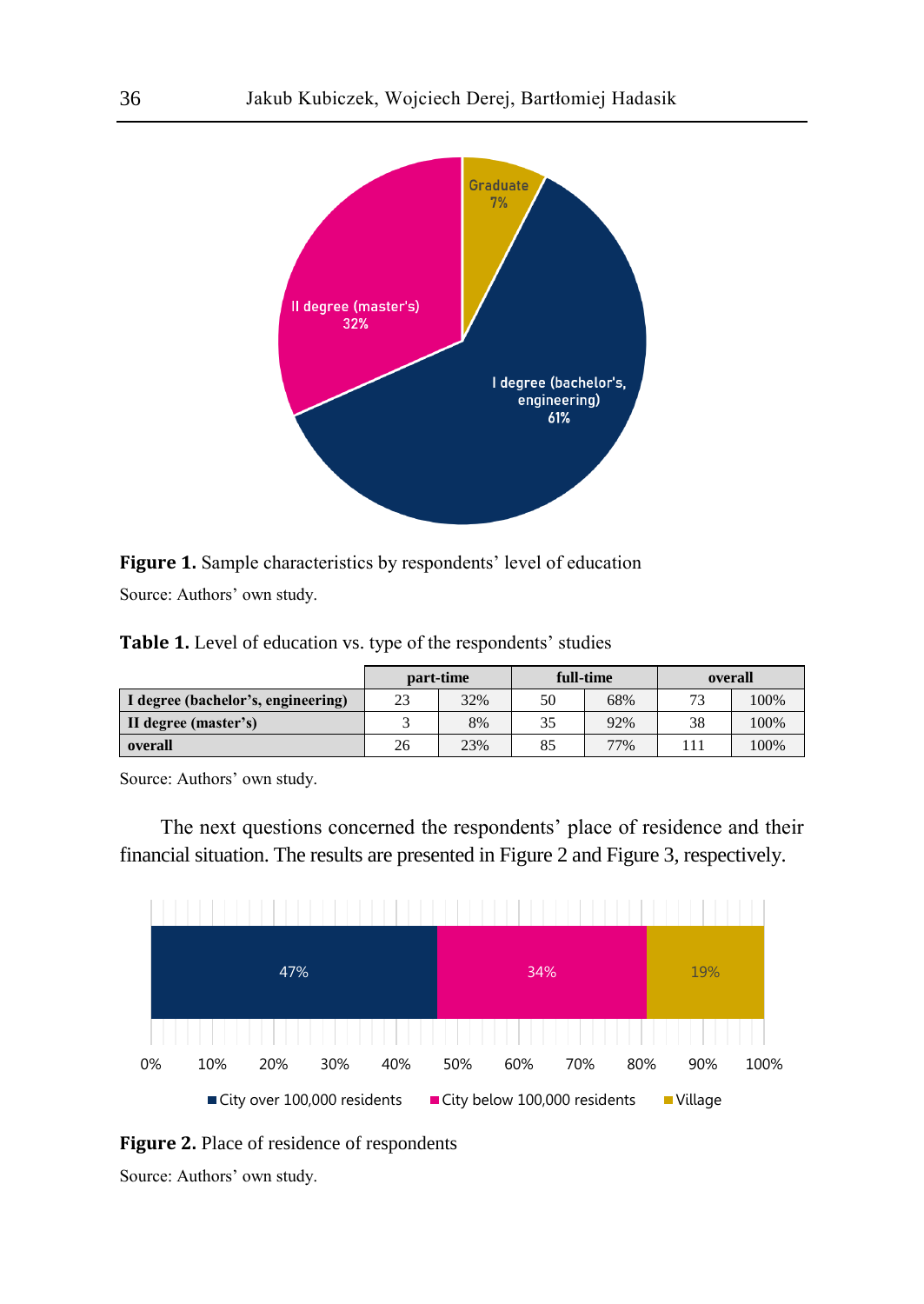

Figure 1. Sample characteristics by respondents' level of education Source: Authors' own study.

**Table 1.** Level of education vs. type of the respondents' studies

|                                    | part-time |     | full-time |     | overall |      |
|------------------------------------|-----------|-----|-----------|-----|---------|------|
| I degree (bachelor's, engineering) | 23        | 32% | 50        | 68% | 72      | 100% |
| II degree (master's)               |           | 8%  | 35        | 92% | 38      | 100% |
| overall                            | 26        | 23% | 85        | 77% |         | 100% |

Source: Authors' own study.

The next questions concerned the respondents' place of residence and their financial situation. The results are presented in Figure 2 and Figure 3, respectively.



**Figure 2.** Place of residence of respondents

Source: Authors' own study.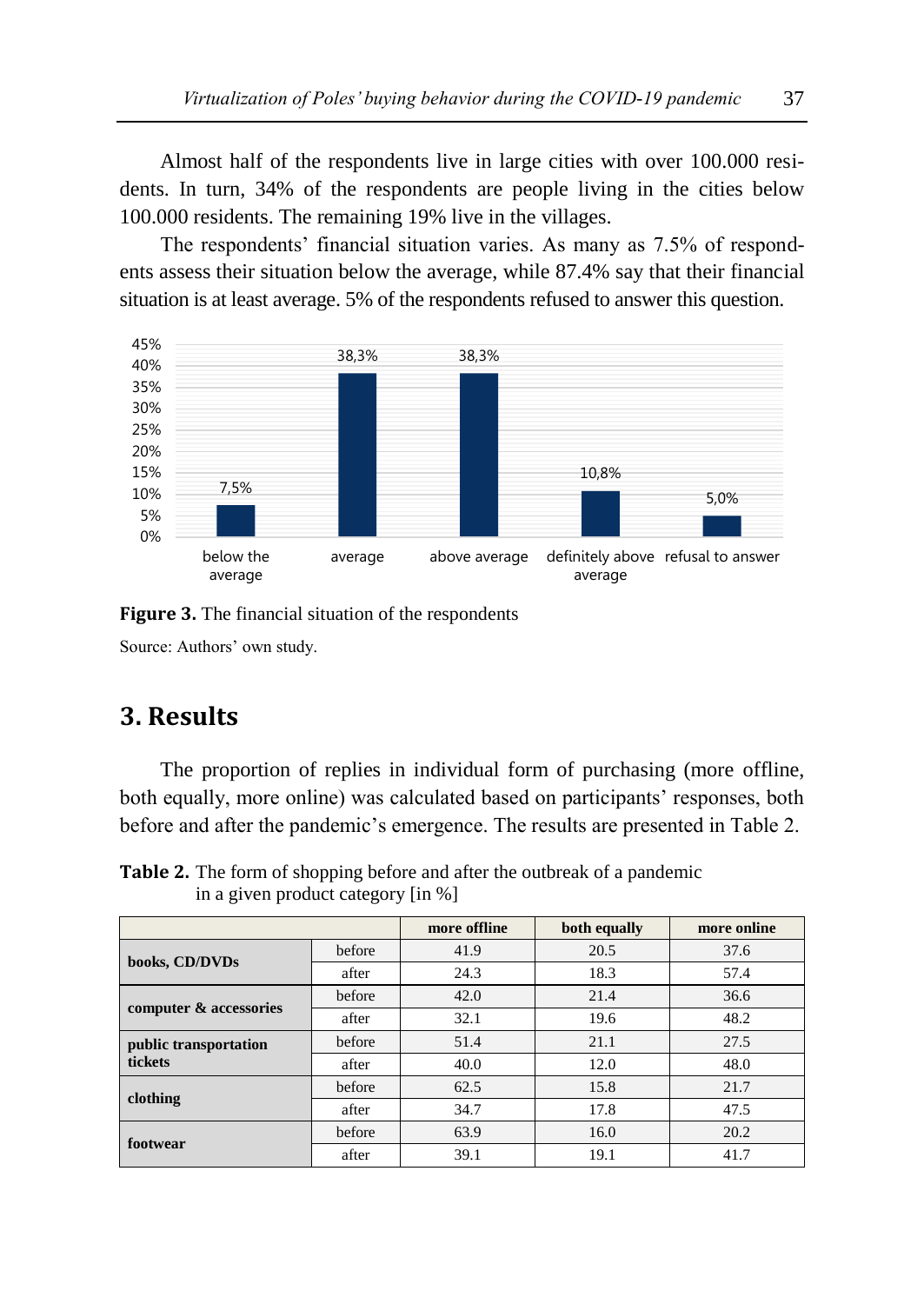Almost half of the respondents live in large cities with over 100.000 residents. In turn, 34% of the respondents are people living in the cities below 100.000 residents. The remaining 19% live in the villages.

The respondents' financial situation varies. As many as 7.5% of respondents assess their situation below the average, while 87.4% say that their financial situation is at least average. 5% of the respondents refused to answer this question.



**Figure 3.** The financial situation of the respondents Source: Authors' own study.

# **3. Results**

The proportion of replies in individual form of purchasing (more offline, both equally, more online) was calculated based on participants' responses, both before and after the pandemic's emergence. The results are presented in Table 2.

**Table 2.** The form of shopping before and after the outbreak of a pandemic in a given product category [in %]

|                                  |        | more offline | both equally | more online |  |
|----------------------------------|--------|--------------|--------------|-------------|--|
|                                  | before | 41.9         | 20.5         | 37.6        |  |
| books, CD/DVDs                   | after  | 24.3         | 18.3         | 57.4        |  |
| computer & accessories           | before | 42.0         | 21.4         | 36.6        |  |
|                                  | after  | 32.1         | 19.6         | 48.2        |  |
| public transportation<br>tickets | before | 51.4         | 21.1         | 27.5        |  |
|                                  | after  | 40.0         | 12.0         | 48.0        |  |
| clothing                         | before | 62.5         | 15.8         | 21.7        |  |
|                                  | after  | 34.7         | 17.8         | 47.5        |  |
| footwear                         | before | 63.9         | 16.0         | 20.2        |  |
|                                  | after  | 39.1         | 19.1         | 41.7        |  |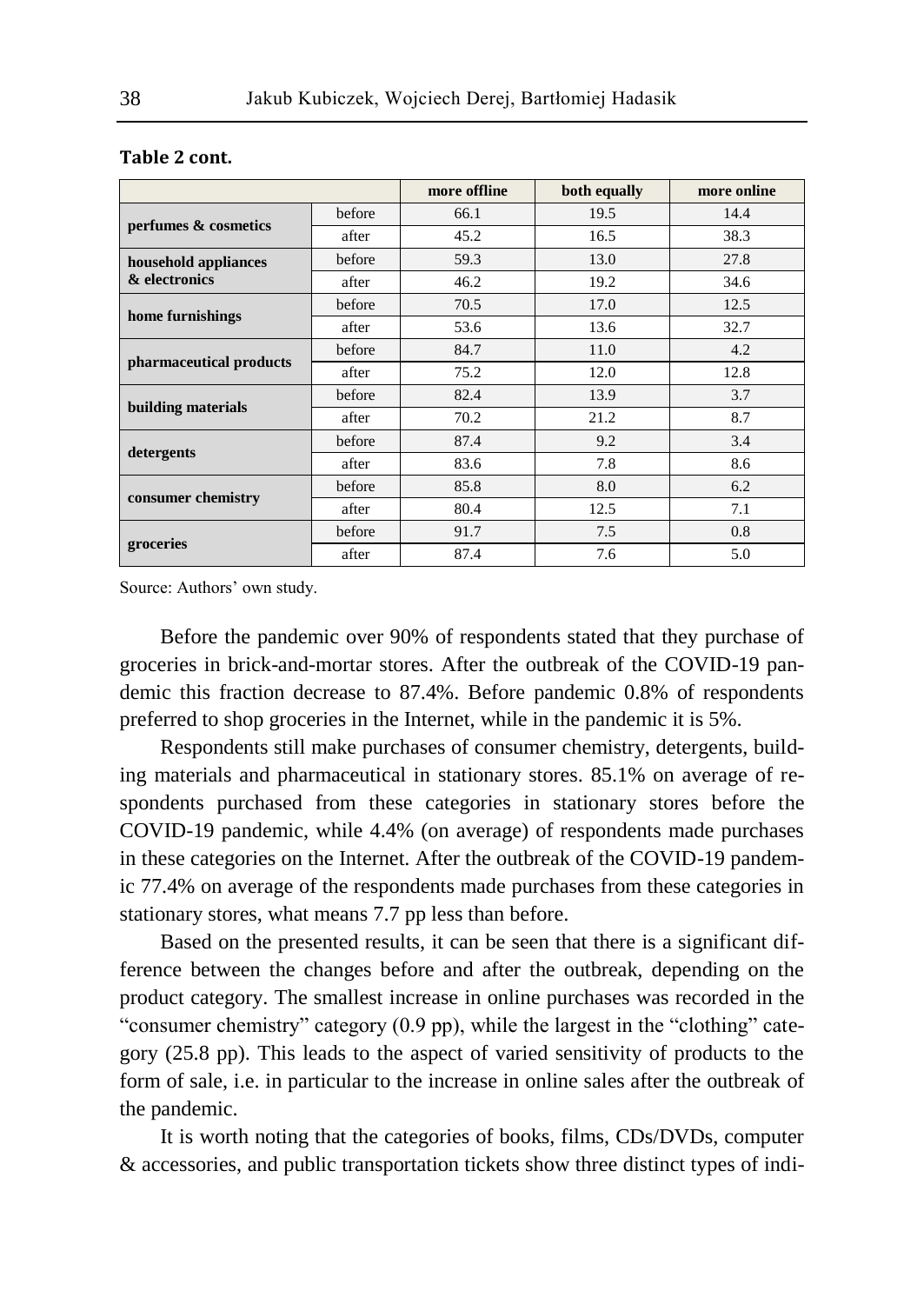|                         |        | more offline | both equally | more online |
|-------------------------|--------|--------------|--------------|-------------|
| perfumes & cosmetics    | before | 66.1         | 19.5         | 14.4        |
|                         | after  | 45.2         | 16.5         | 38.3        |
| household appliances    | before | 59.3         | 13.0         | 27.8        |
| & electronics           | after  | 46.2         | 19.2         | 34.6        |
| home furnishings        | before | 70.5         | 17.0         | 12.5        |
|                         | after  | 53.6         | 13.6         | 32.7        |
| pharmaceutical products | before | 84.7         | 11.0         | 4.2         |
|                         | after  | 75.2         | 12.0         | 12.8        |
| building materials      | before | 82.4         | 13.9         | 3.7         |
|                         | after  | 70.2         | 21.2         | 8.7         |
| detergents              | before | 87.4         | 9.2          | 3.4         |
|                         | after  | 83.6         | 7.8          | 8.6         |
| consumer chemistry      | before | 85.8         | 8.0          | 6.2         |
|                         | after  | 80.4         | 12.5         | 7.1         |
|                         | before | 91.7         | 7.5          | 0.8         |
| groceries               | after  | 87.4         | 7.6          | 5.0         |

#### **Table 2 cont.**

Source: Authors' own study.

Before the pandemic over 90% of respondents stated that they purchase of groceries in brick-and-mortar stores. After the outbreak of the COVID-19 pandemic this fraction decrease to 87.4%. Before pandemic 0.8% of respondents preferred to shop groceries in the Internet, while in the pandemic it is 5%.

Respondents still make purchases of consumer chemistry, detergents, building materials and pharmaceutical in stationary stores. 85.1% on average of respondents purchased from these categories in stationary stores before the COVID-19 pandemic, while 4.4% (on average) of respondents made purchases in these categories on the Internet. After the outbreak of the COVID-19 pandemic 77.4% on average of the respondents made purchases from these categories in stationary stores, what means 7.7 pp less than before.

Based on the presented results, it can be seen that there is a significant difference between the changes before and after the outbreak, depending on the product category. The smallest increase in online purchases was recorded in the "consumer chemistry" category (0.9 pp), while the largest in the "clothing" category (25.8 pp). This leads to the aspect of varied sensitivity of products to the form of sale, i.e. in particular to the increase in online sales after the outbreak of the pandemic.

It is worth noting that the categories of books, films, CDs/DVDs, computer & accessories, and public transportation tickets show three distinct types of indi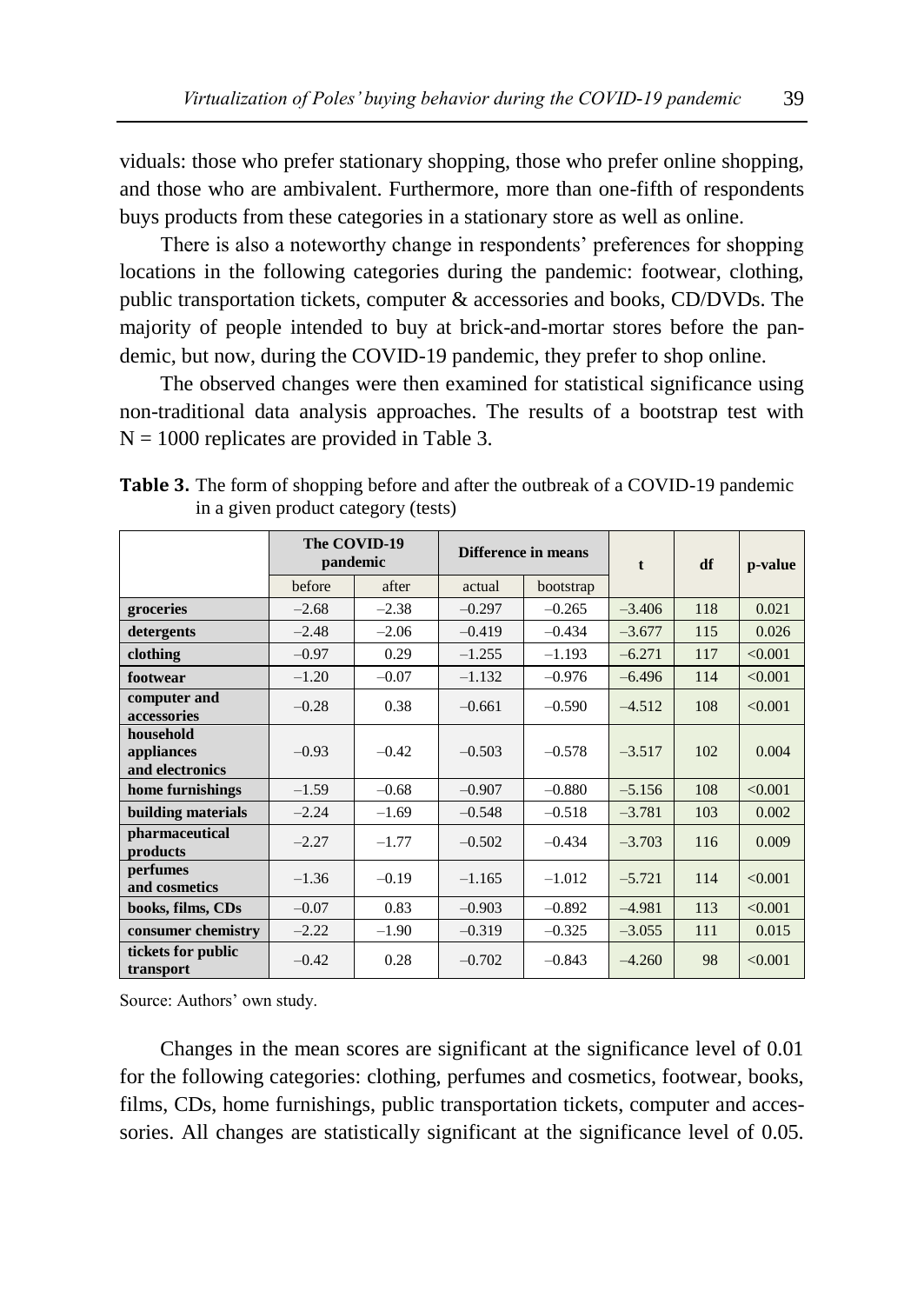viduals: those who prefer stationary shopping, those who prefer online shopping, and those who are ambivalent. Furthermore, more than one-fifth of respondents buys products from these categories in a stationary store as well as online.

There is also a noteworthy change in respondents' preferences for shopping locations in the following categories during the pandemic: footwear, clothing, public transportation tickets, computer & accessories and books, CD/DVDs. The majority of people intended to buy at brick-and-mortar stores before the pandemic, but now, during the COVID-19 pandemic, they prefer to shop online.

The observed changes were then examined for statistical significance using non-traditional data analysis approaches. The results of a bootstrap test with  $N = 1000$  replicates are provided in Table 3.

**Table 3.** The form of shopping before and after the outbreak of a COVID-19 pandemic

|                                            | The COVID-19<br>pandemic |         | Difference in means |           | $\mathbf t$ | df  | p-value |
|--------------------------------------------|--------------------------|---------|---------------------|-----------|-------------|-----|---------|
|                                            | before                   | after   | actual              | bootstrap |             |     |         |
| groceries                                  | $-2.68$                  | $-2.38$ | $-0.297$            | $-0.265$  | $-3.406$    | 118 | 0.021   |
| detergents                                 | $-2.48$                  | $-2.06$ | $-0.419$            | $-0.434$  | $-3.677$    | 115 | 0.026   |
| clothing                                   | $-0.97$                  | 0.29    | $-1.255$            | $-1.193$  | $-6.271$    | 117 | < 0.001 |
| footwear                                   | $-1.20$                  | $-0.07$ | $-1.132$            | $-0.976$  | $-6.496$    | 114 | < 0.001 |
| computer and<br>accessories                | $-0.28$                  | 0.38    | $-0.661$            | $-0.590$  | $-4.512$    | 108 | < 0.001 |
| household<br>appliances<br>and electronics | $-0.93$                  | $-0.42$ | $-0.503$            | $-0.578$  | $-3.517$    | 102 | 0.004   |
| home furnishings                           | $-1.59$                  | $-0.68$ | $-0.907$            | $-0.880$  | $-5.156$    | 108 | < 0.001 |
| building materials                         | $-2.24$                  | $-1.69$ | $-0.548$            | $-0.518$  | $-3.781$    | 103 | 0.002   |
| pharmaceutical<br>products                 | $-2.27$                  | $-1.77$ | $-0.502$            | $-0.434$  | $-3.703$    | 116 | 0.009   |
| perfumes<br>and cosmetics                  | $-1.36$                  | $-0.19$ | $-1.165$            | $-1.012$  | $-5.721$    | 114 | < 0.001 |
| books, films, CDs                          | $-0.07$                  | 0.83    | $-0.903$            | $-0.892$  | $-4.981$    | 113 | < 0.001 |
| consumer chemistry                         | $-2.22$                  | $-1.90$ | $-0.319$            | $-0.325$  | $-3.055$    | 111 | 0.015   |
| tickets for public<br>transport            | $-0.42$                  | 0.28    | $-0.702$            | $-0.843$  | $-4.260$    | 98  | < 0.001 |

in a given product category (tests)

Source: Authors' own study.

Changes in the mean scores are significant at the significance level of 0.01 for the following categories: clothing, perfumes and cosmetics, footwear, books, films, CDs, home furnishings, public transportation tickets, computer and accessories. All changes are statistically significant at the significance level of 0.05.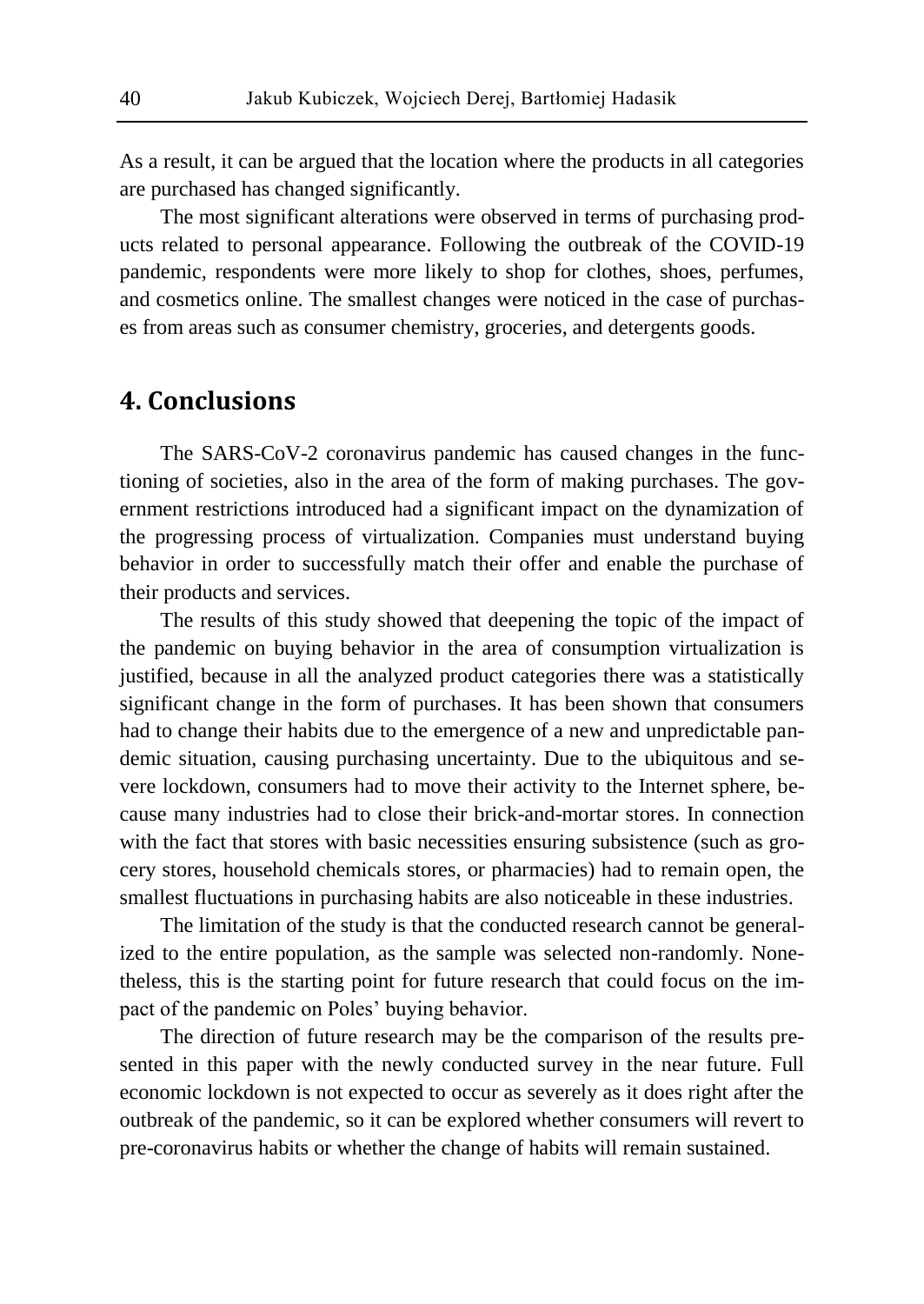As a result, it can be argued that the location where the products in all categories are purchased has changed significantly.

The most significant alterations were observed in terms of purchasing products related to personal appearance. Following the outbreak of the COVID-19 pandemic, respondents were more likely to shop for clothes, shoes, perfumes, and cosmetics online. The smallest changes were noticed in the case of purchases from areas such as consumer chemistry, groceries, and detergents goods.

# **4. Conclusions**

The SARS-CoV-2 coronavirus pandemic has caused changes in the functioning of societies, also in the area of the form of making purchases. The government restrictions introduced had a significant impact on the dynamization of the progressing process of virtualization. Companies must understand buying behavior in order to successfully match their offer and enable the purchase of their products and services.

The results of this study showed that deepening the topic of the impact of the pandemic on buying behavior in the area of consumption virtualization is justified, because in all the analyzed product categories there was a statistically significant change in the form of purchases. It has been shown that consumers had to change their habits due to the emergence of a new and unpredictable pandemic situation, causing purchasing uncertainty. Due to the ubiquitous and severe lockdown, consumers had to move their activity to the Internet sphere, because many industries had to close their brick-and-mortar stores. In connection with the fact that stores with basic necessities ensuring subsistence (such as grocery stores, household chemicals stores, or pharmacies) had to remain open, the smallest fluctuations in purchasing habits are also noticeable in these industries.

The limitation of the study is that the conducted research cannot be generalized to the entire population, as the sample was selected non-randomly. Nonetheless, this is the starting point for future research that could focus on the impact of the pandemic on Poles' buying behavior.

The direction of future research may be the comparison of the results presented in this paper with the newly conducted survey in the near future. Full economic lockdown is not expected to occur as severely as it does right after the outbreak of the pandemic, so it can be explored whether consumers will revert to pre-coronavirus habits or whether the change of habits will remain sustained.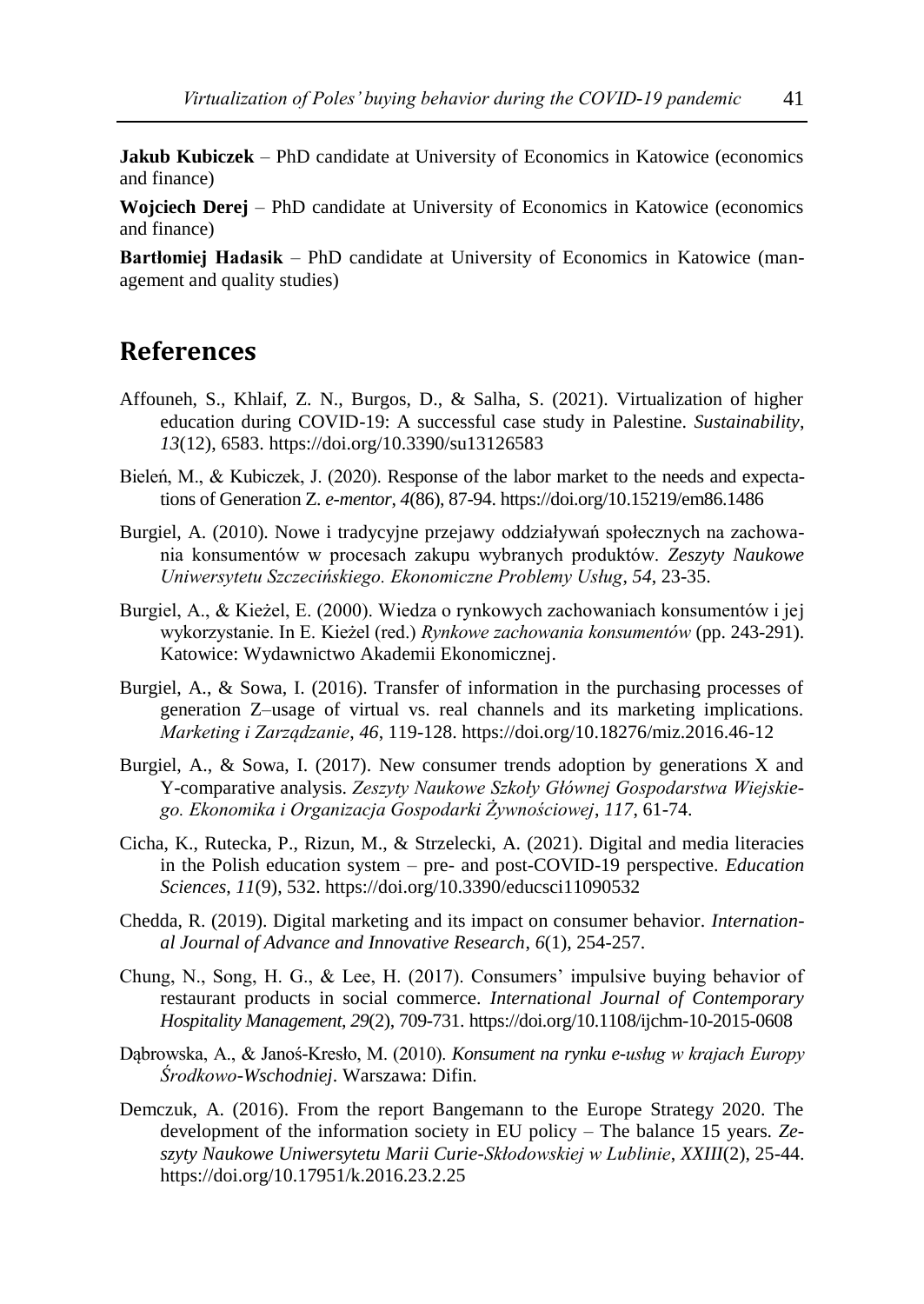**Jakub Kubiczek** – PhD candidate at University of Economics in Katowice (economics and finance)

**Wojciech Derej** – PhD candidate at University of Economics in Katowice (economics and finance)

**Bartłomiej Hadasik** – PhD candidate at University of Economics in Katowice (management and quality studies)

## **References**

- Affouneh, S., Khlaif, Z. N., Burgos, D., & Salha, S. (2021). Virtualization of higher education during COVID-19: A successful case study in Palestine. *Sustainability*, *13*(12), 6583. https://doi.org/10.3390/su13126583
- Bieleń, M., & Kubiczek, J. (2020). Response of the labor market to the needs and expectations of Generation Z. *e-mentor*, *4*(86), 87-94. https://doi.org/10.15219/em86.1486
- Burgiel, A. (2010). Nowe i tradycyjne przejawy oddziaływań społecznych na zachowania konsumentów w procesach zakupu wybranych produktów. *Zeszyty Naukowe Uniwersytetu Szczecińskiego. Ekonomiczne Problemy Usług*, *54*, 23-35.
- Burgiel, A., & Kieżel, E. (2000). Wiedza o rynkowych zachowaniach konsumentów i jej wykorzystanie. In E. Kieżel (red.) *Rynkowe zachowania konsumentów* (pp. 243-291). Katowice: Wydawnictwo Akademii Ekonomicznej.
- Burgiel, A., & Sowa, I. (2016). Transfer of information in the purchasing processes of generation Z–usage of virtual vs. real channels and its marketing implications. *Marketing i Zarządzanie*, *46*, 119-128. https://doi.org/10.18276/miz.2016.46-12
- Burgiel, A., & Sowa, I. (2017). New consumer trends adoption by generations X and Y-comparative analysis. *Zeszyty Naukowe Szkoły Głównej Gospodarstwa Wiejskiego. Ekonomika i Organizacja Gospodarki Żywnościowej*, *117*, 61-74.
- Cicha, K., Rutecka, P., Rizun, M., & Strzelecki, A. (2021). Digital and media literacies in the Polish education system – pre- and post-COVID-19 perspective. *Education Sciences*, *11*(9), 532. https://doi.org/10.3390/educsci11090532
- Chedda, R. (2019). Digital marketing and its impact on consumer behavior. *International Journal of Advance and Innovative Research*, *6*(1), 254-257.
- Chung, N., Song, H. G., & Lee, H. (2017). Consumers' impulsive buying behavior of restaurant products in social commerce. *International Journal of Contemporary Hospitality Management*, *29*(2), 709-731. https://doi.org/10.1108/ijchm-10-2015-0608
- Dąbrowska, A., & Janoś-Kresło, M. (2010). *Konsument na rynku e-usług w krajach Europy Środkowo-Wschodniej*. Warszawa: Difin.
- Demczuk, A. (2016). From the report Bangemann to the Europe Strategy 2020. The development of the information society in EU policy – The balance 15 years. *Zeszyty Naukowe Uniwersytetu Marii Curie-Skłodowskiej w Lublinie*, *XXIII*(2), 25-44. https://doi.org/10.17951/k.2016.23.2.25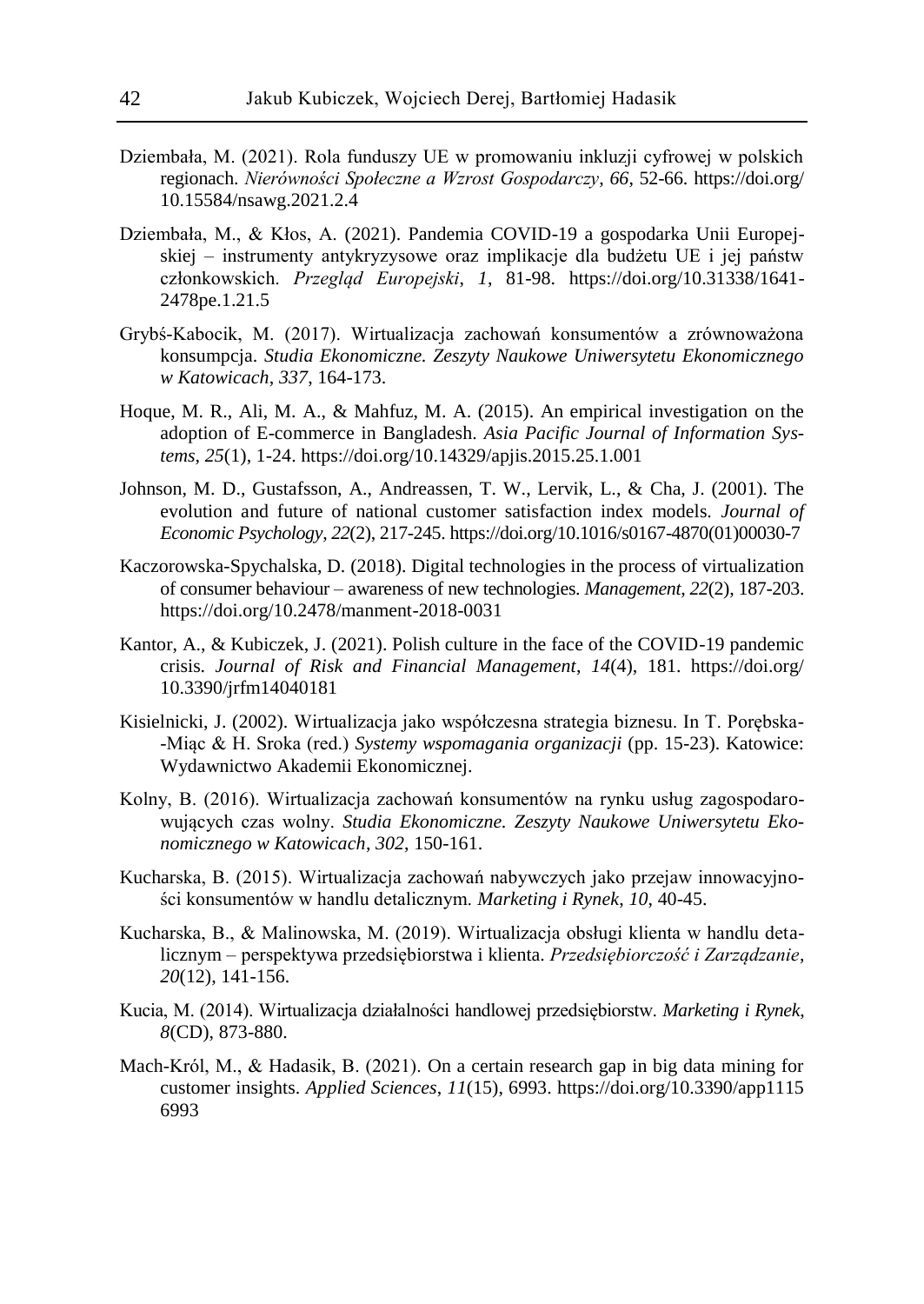- Dziembała, M. (2021). Rola funduszy UE w promowaniu inkluzji cyfrowej w polskich regionach. *Nierówności Społeczne a Wzrost Gospodarczy*, *66*, 52-66. https://doi.org/ 10.15584/nsawg.2021.2.4
- Dziembała, M., & Kłos, A. (2021). Pandemia COVID-19 a gospodarka Unii Europejskiej – instrumenty antykryzysowe oraz implikacje dla budżetu UE i jej państw członkowskich. *Przegląd Europejski*, *1*, 81-98. https://doi.org/10.31338/1641- 2478pe.1.21.5
- Grybś-Kabocik, M. (2017). Wirtualizacja zachowań konsumentów a zrównoważona konsumpcja. *Studia Ekonomiczne. Zeszyty Naukowe Uniwersytetu Ekonomicznego w Katowicach*, *337*, 164-173.
- Hoque, M. R., Ali, M. A., & Mahfuz, M. A. (2015). An empirical investigation on the adoption of E-commerce in Bangladesh. *Asia Pacific Journal of Information Systems*, *25*(1), 1-24. https://doi.org/10.14329/apjis.2015.25.1.001
- Johnson, M. D., Gustafsson, A., Andreassen, T. W., Lervik, L., & Cha, J. (2001). The evolution and future of national customer satisfaction index models. *Journal of Economic Psychology*, *22*(2), 217-245. https://doi.org/10.1016/s0167-4870(01)00030-7
- Kaczorowska-Spychalska, D. (2018). Digital technologies in the process of virtualization of consumer behaviour – awareness of new technologies. *Management*, *22*(2), 187-203. https://doi.org/10.2478/manment-2018-0031
- Kantor, A., & Kubiczek, J. (2021). Polish culture in the face of the COVID-19 pandemic crisis. *Journal of Risk and Financial Management*, *14*(4), 181. https://doi.org/ 10.3390/jrfm14040181
- Kisielnicki, J. (2002). Wirtualizacja jako współczesna strategia biznesu. In T. Porębska- -Miąc & H. Sroka (red.) *Systemy wspomagania organizacji* (pp. 15-23). Katowice: Wydawnictwo Akademii Ekonomicznej.
- Kolny, B. (2016). Wirtualizacja zachowań konsumentów na rynku usług zagospodarowujących czas wolny. *Studia Ekonomiczne. Zeszyty Naukowe Uniwersytetu Ekonomicznego w Katowicach*, *302*, 150-161.
- Kucharska, B. (2015). Wirtualizacja zachowań nabywczych jako przejaw innowacyjności konsumentów w handlu detalicznym. *Marketing i Rynek*, *10*, 40-45.
- Kucharska, B., & Malinowska, M. (2019). Wirtualizacja obsługi klienta w handlu detalicznym – perspektywa przedsiębiorstwa i klienta. *Przedsiębiorczość i Zarządzanie*, *20*(12), 141-156.
- Kucia, M. (2014). Wirtualizacja działalności handlowej przedsiębiorstw. *Marketing i Rynek*, *8*(CD), 873-880.
- Mach-Król, M., & Hadasik, B. (2021). On a certain research gap in big data mining for customer insights. *Applied Sciences*, *11*(15), 6993. https://doi.org/10.3390/app1115 6993